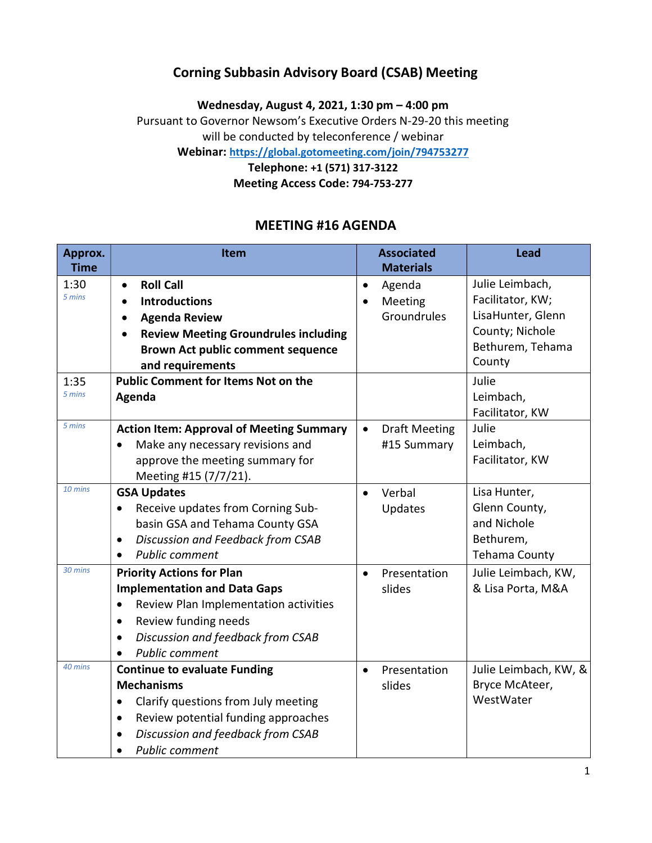## Corning Subbasin Advisory Board (CSAB) Meeting

Wednesday, August 4, 2021, 1:30 pm – 4:00 pm Pursuant to Governor Newsom's Executive Orders N-29-20 this meeting will be conducted by teleconference / webinar

Webinar: https://global.gotomeeting.com/join/794753277

Telephone: +1 (571) 317-3122 Meeting Access Code: 794-753-277

### MEETING #16 AGENDA

| Approx.<br><b>Time</b> | Item                                               |           | <b>Associated</b><br><b>Materials</b> | <b>Lead</b>           |
|------------------------|----------------------------------------------------|-----------|---------------------------------------|-----------------------|
| 1:30                   | <b>Roll Call</b><br>$\bullet$                      | $\bullet$ | Agenda                                | Julie Leimbach,       |
| 5 mins                 | <b>Introductions</b><br>$\bullet$                  | $\bullet$ | Meeting                               | Facilitator, KW;      |
|                        | <b>Agenda Review</b><br>$\bullet$                  |           | Groundrules                           | LisaHunter, Glenn     |
|                        | <b>Review Meeting Groundrules including</b>        |           |                                       | County; Nichole       |
|                        | <b>Brown Act public comment sequence</b>           |           |                                       | Bethurem, Tehama      |
|                        | and requirements                                   |           |                                       | County                |
| 1:35                   | <b>Public Comment for Items Not on the</b>         |           |                                       | Julie                 |
| 5 mins                 | Agenda                                             |           |                                       | Leimbach,             |
|                        |                                                    |           |                                       | Facilitator, KW       |
| 5 mins                 | <b>Action Item: Approval of Meeting Summary</b>    | $\bullet$ | <b>Draft Meeting</b>                  | Julie                 |
|                        | Make any necessary revisions and                   |           | #15 Summary                           | Leimbach,             |
|                        | approve the meeting summary for                    |           |                                       | Facilitator, KW       |
|                        | Meeting #15 (7/7/21).                              |           |                                       |                       |
| 10 mins                | <b>GSA Updates</b>                                 | $\bullet$ | Verbal                                | Lisa Hunter,          |
|                        | Receive updates from Corning Sub-<br>$\bullet$     |           | Updates                               | Glenn County,         |
|                        | basin GSA and Tehama County GSA                    |           |                                       | and Nichole           |
|                        | Discussion and Feedback from CSAB                  |           |                                       | Bethurem,             |
|                        | <b>Public comment</b>                              |           |                                       | Tehama County         |
| 30 mins                | <b>Priority Actions for Plan</b>                   | $\bullet$ | Presentation                          | Julie Leimbach, KW,   |
|                        | <b>Implementation and Data Gaps</b>                |           | slides                                | & Lisa Porta, M&A     |
|                        | Review Plan Implementation activities<br>$\bullet$ |           |                                       |                       |
|                        | Review funding needs                               |           |                                       |                       |
|                        | Discussion and feedback from CSAB                  |           |                                       |                       |
|                        | Public comment                                     |           |                                       |                       |
| 40 mins                | <b>Continue to evaluate Funding</b>                | $\bullet$ | Presentation                          | Julie Leimbach, KW, & |
|                        | <b>Mechanisms</b>                                  |           | slides                                | Bryce McAteer,        |
|                        | Clarify questions from July meeting                |           |                                       | WestWater             |
|                        | Review potential funding approaches<br>$\bullet$   |           |                                       |                       |
|                        | Discussion and feedback from CSAB                  |           |                                       |                       |
|                        | <b>Public comment</b>                              |           |                                       |                       |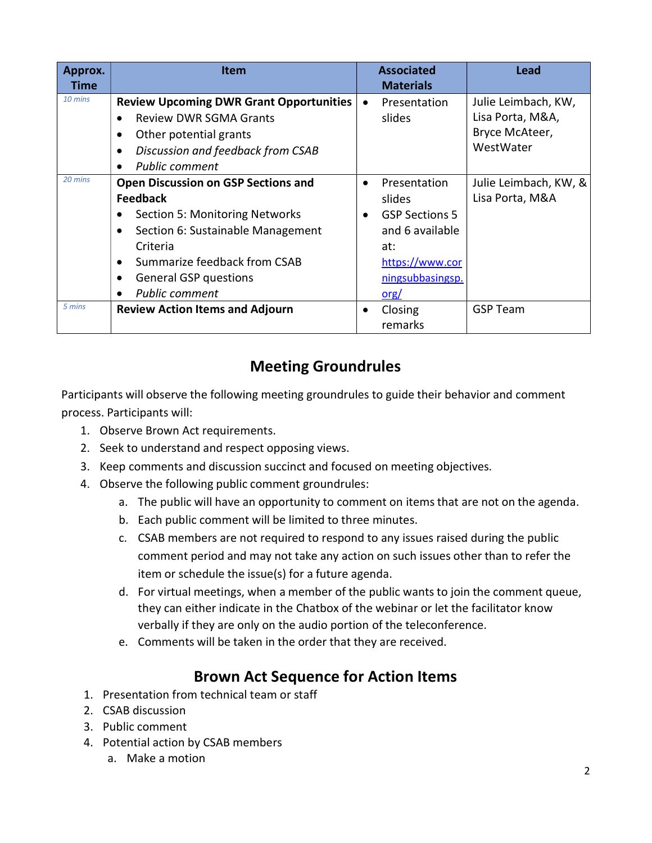| Approx.<br>Time | Item                                                                                                                                                                                                                                             |                        | <b>Associated</b><br><b>Materials</b>                                                                                    | <b>Lead</b>                                                            |
|-----------------|--------------------------------------------------------------------------------------------------------------------------------------------------------------------------------------------------------------------------------------------------|------------------------|--------------------------------------------------------------------------------------------------------------------------|------------------------------------------------------------------------|
| 10 mins         | <b>Review Upcoming DWR Grant Opportunities</b><br><b>Review DWR SGMA Grants</b><br>Other potential grants<br>Discussion and feedback from CSAB<br><b>Public comment</b>                                                                          | $\bullet$              | Presentation<br>slides                                                                                                   | Julie Leimbach, KW,<br>Lisa Porta, M&A,<br>Bryce McAteer,<br>WestWater |
| 20 mins         | <b>Open Discussion on GSP Sections and</b><br><b>Feedback</b><br><b>Section 5: Monitoring Networks</b><br>Section 6: Sustainable Management<br>Criteria<br>Summarize feedback from CSAB<br><b>General GSP questions</b><br><b>Public comment</b> | $\bullet$<br>$\bullet$ | Presentation<br>slides<br><b>GSP Sections 5</b><br>and 6 available<br>at:<br>https://www.cor<br>ningsubbasingsp.<br>org/ | Julie Leimbach, KW, &<br>Lisa Porta, M&A                               |
| 5 mins          | <b>Review Action Items and Adjourn</b>                                                                                                                                                                                                           | ٠                      | Closing<br>remarks                                                                                                       | <b>GSP Team</b>                                                        |

# Meeting Groundrules

Participants will observe the following meeting groundrules to guide their behavior and comment process. Participants will:

- 1. Observe Brown Act requirements.
- 2. Seek to understand and respect opposing views.
- 3. Keep comments and discussion succinct and focused on meeting objectives.
- 4. Observe the following public comment groundrules:
	- a. The public will have an opportunity to comment on items that are not on the agenda.
	- b. Each public comment will be limited to three minutes.
	- c. CSAB members are not required to respond to any issues raised during the public comment period and may not take any action on such issues other than to refer the item or schedule the issue(s) for a future agenda.
	- d. For virtual meetings, when a member of the public wants to join the comment queue, they can either indicate in the Chatbox of the webinar or let the facilitator know verbally if they are only on the audio portion of the teleconference.
	- e. Comments will be taken in the order that they are received.

## Brown Act Sequence for Action Items

- 1. Presentation from technical team or staff
- 2. CSAB discussion
- 3. Public comment
- 4. Potential action by CSAB members
	- a. Make a motion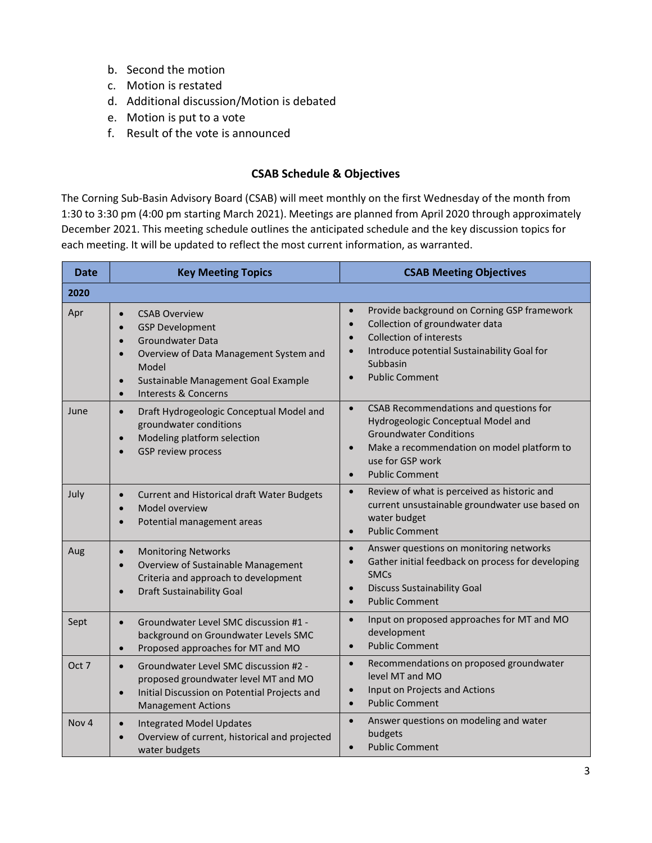- b. Second the motion
- c. Motion is restated
- d. Additional discussion/Motion is debated
- e. Motion is put to a vote
- f. Result of the vote is announced

#### CSAB Schedule & Objectives

The Corning Sub-Basin Advisory Board (CSAB) will meet monthly on the first Wednesday of the month from 1:30 to 3:30 pm (4:00 pm starting March 2021). Meetings are planned from April 2020 through approximately December 2021. This meeting schedule outlines the anticipated schedule and the key discussion topics for each meeting. It will be updated to reflect the most current information, as warranted.

| <b>Date</b>      | <b>Key Meeting Topics</b>                                                                                                                                                                                                                                                            | <b>CSAB Meeting Objectives</b>                                                                                                                                                                                                                                       |  |
|------------------|--------------------------------------------------------------------------------------------------------------------------------------------------------------------------------------------------------------------------------------------------------------------------------------|----------------------------------------------------------------------------------------------------------------------------------------------------------------------------------------------------------------------------------------------------------------------|--|
| 2020             |                                                                                                                                                                                                                                                                                      |                                                                                                                                                                                                                                                                      |  |
| Apr              | <b>CSAB Overview</b><br>$\bullet$<br><b>GSP Development</b><br>$\bullet$<br><b>Groundwater Data</b><br>$\bullet$<br>Overview of Data Management System and<br>$\bullet$<br>Model<br>Sustainable Management Goal Example<br>$\bullet$<br><b>Interests &amp; Concerns</b><br>$\bullet$ | Provide background on Corning GSP framework<br>$\bullet$<br>Collection of groundwater data<br>$\bullet$<br><b>Collection of interests</b><br>$\bullet$<br>Introduce potential Sustainability Goal for<br>$\bullet$<br>Subbasin<br><b>Public Comment</b><br>$\bullet$ |  |
| June             | Draft Hydrogeologic Conceptual Model and<br>$\bullet$<br>groundwater conditions<br>Modeling platform selection<br>$\bullet$<br><b>GSP review process</b><br>$\bullet$                                                                                                                | CSAB Recommendations and questions for<br>$\bullet$<br>Hydrogeologic Conceptual Model and<br><b>Groundwater Conditions</b><br>Make a recommendation on model platform to<br>$\bullet$<br>use for GSP work<br><b>Public Comment</b><br>$\bullet$                      |  |
| July             | Current and Historical draft Water Budgets<br>$\bullet$<br>Model overview<br>Potential management areas                                                                                                                                                                              | Review of what is perceived as historic and<br>$\bullet$<br>current unsustainable groundwater use based on<br>water budget<br><b>Public Comment</b><br>$\bullet$                                                                                                     |  |
| Aug              | <b>Monitoring Networks</b><br>$\bullet$<br>Overview of Sustainable Management<br>$\bullet$<br>Criteria and approach to development<br><b>Draft Sustainability Goal</b><br>$\bullet$                                                                                                  | Answer questions on monitoring networks<br>$\bullet$<br>Gather initial feedback on process for developing<br>$\bullet$<br><b>SMCs</b><br><b>Discuss Sustainability Goal</b><br>$\bullet$<br><b>Public Comment</b><br>$\bullet$                                       |  |
| Sept             | Groundwater Level SMC discussion #1 -<br>$\bullet$<br>background on Groundwater Levels SMC<br>Proposed approaches for MT and MO<br>$\bullet$                                                                                                                                         | Input on proposed approaches for MT and MO<br>$\bullet$<br>development<br><b>Public Comment</b><br>$\bullet$                                                                                                                                                         |  |
| Oct 7            | Groundwater Level SMC discussion #2 -<br>$\bullet$<br>proposed groundwater level MT and MO<br>Initial Discussion on Potential Projects and<br>$\bullet$<br><b>Management Actions</b>                                                                                                 | Recommendations on proposed groundwater<br>$\bullet$<br>level MT and MO<br>Input on Projects and Actions<br>$\bullet$<br><b>Public Comment</b><br>$\bullet$                                                                                                          |  |
| Nov <sub>4</sub> | <b>Integrated Model Updates</b><br>$\bullet$<br>Overview of current, historical and projected<br>water budgets                                                                                                                                                                       | Answer questions on modeling and water<br>$\bullet$<br>budgets<br><b>Public Comment</b><br>$\bullet$                                                                                                                                                                 |  |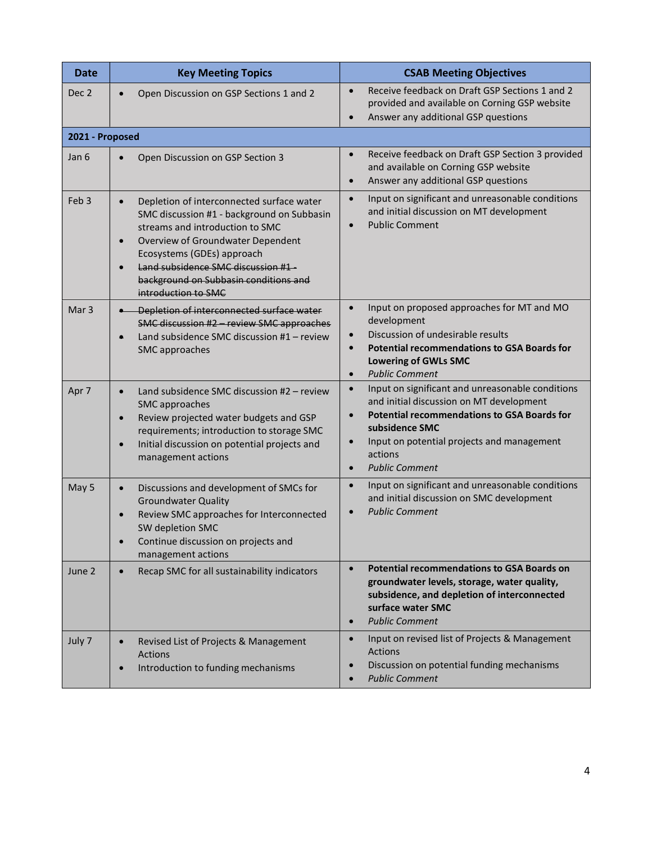| <b>Date</b>      | <b>Key Meeting Topics</b>                                                                                                                                                                                                                                                                                                                  | <b>CSAB Meeting Objectives</b>                                                                                                                                                                                                                                                                             |  |  |  |
|------------------|--------------------------------------------------------------------------------------------------------------------------------------------------------------------------------------------------------------------------------------------------------------------------------------------------------------------------------------------|------------------------------------------------------------------------------------------------------------------------------------------------------------------------------------------------------------------------------------------------------------------------------------------------------------|--|--|--|
| Dec 2            | Open Discussion on GSP Sections 1 and 2<br>$\bullet$                                                                                                                                                                                                                                                                                       | Receive feedback on Draft GSP Sections 1 and 2<br>$\bullet$<br>provided and available on Corning GSP website<br>Answer any additional GSP questions<br>$\bullet$                                                                                                                                           |  |  |  |
|                  | 2021 - Proposed                                                                                                                                                                                                                                                                                                                            |                                                                                                                                                                                                                                                                                                            |  |  |  |
| Jan 6            | Open Discussion on GSP Section 3<br>$\bullet$                                                                                                                                                                                                                                                                                              | Receive feedback on Draft GSP Section 3 provided<br>$\bullet$<br>and available on Corning GSP website<br>Answer any additional GSP questions<br>$\bullet$                                                                                                                                                  |  |  |  |
| Feb <sub>3</sub> | Depletion of interconnected surface water<br>$\bullet$<br>SMC discussion #1 - background on Subbasin<br>streams and introduction to SMC<br>Overview of Groundwater Dependent<br>$\bullet$<br>Ecosystems (GDEs) approach<br>Land subsidence SMC discussion #1-<br>$\bullet$<br>background on Subbasin conditions and<br>introduction to SMC | Input on significant and unreasonable conditions<br>$\bullet$<br>and initial discussion on MT development<br><b>Public Comment</b><br>$\bullet$                                                                                                                                                            |  |  |  |
| Mar <sub>3</sub> | Depletion of interconnected surface water<br>SMC discussion #2 - review SMC approaches<br>Land subsidence SMC discussion #1 - review<br>$\bullet$<br>SMC approaches                                                                                                                                                                        | Input on proposed approaches for MT and MO<br>$\bullet$<br>development<br>Discussion of undesirable results<br>$\bullet$<br><b>Potential recommendations to GSA Boards for</b><br>$\bullet$<br><b>Lowering of GWLs SMC</b><br><b>Public Comment</b><br>$\bullet$                                           |  |  |  |
| Apr 7            | Land subsidence SMC discussion #2 - review<br>$\bullet$<br>SMC approaches<br>Review projected water budgets and GSP<br>$\bullet$<br>requirements; introduction to storage SMC<br>Initial discussion on potential projects and<br>$\bullet$<br>management actions                                                                           | Input on significant and unreasonable conditions<br>$\bullet$<br>and initial discussion on MT development<br><b>Potential recommendations to GSA Boards for</b><br>$\bullet$<br>subsidence SMC<br>Input on potential projects and management<br>$\bullet$<br>actions<br><b>Public Comment</b><br>$\bullet$ |  |  |  |
| May 5            | Discussions and development of SMCs for<br>$\bullet$<br><b>Groundwater Quality</b><br>Review SMC approaches for Interconnected<br>$\bullet$<br>SW depletion SMC<br>Continue discussion on projects and<br>management actions                                                                                                               | Input on significant and unreasonable conditions<br>$\bullet$<br>and initial discussion on SMC development<br><b>Public Comment</b><br>$\bullet$                                                                                                                                                           |  |  |  |
| June 2           | Recap SMC for all sustainability indicators<br>$\bullet$                                                                                                                                                                                                                                                                                   | <b>Potential recommendations to GSA Boards on</b><br>$\bullet$<br>groundwater levels, storage, water quality,<br>subsidence, and depletion of interconnected<br>surface water SMC<br><b>Public Comment</b><br>$\bullet$                                                                                    |  |  |  |
| July 7           | Revised List of Projects & Management<br>$\bullet$<br><b>Actions</b><br>Introduction to funding mechanisms<br>$\bullet$                                                                                                                                                                                                                    | Input on revised list of Projects & Management<br>$\bullet$<br>Actions<br>Discussion on potential funding mechanisms<br>$\bullet$<br><b>Public Comment</b>                                                                                                                                                 |  |  |  |